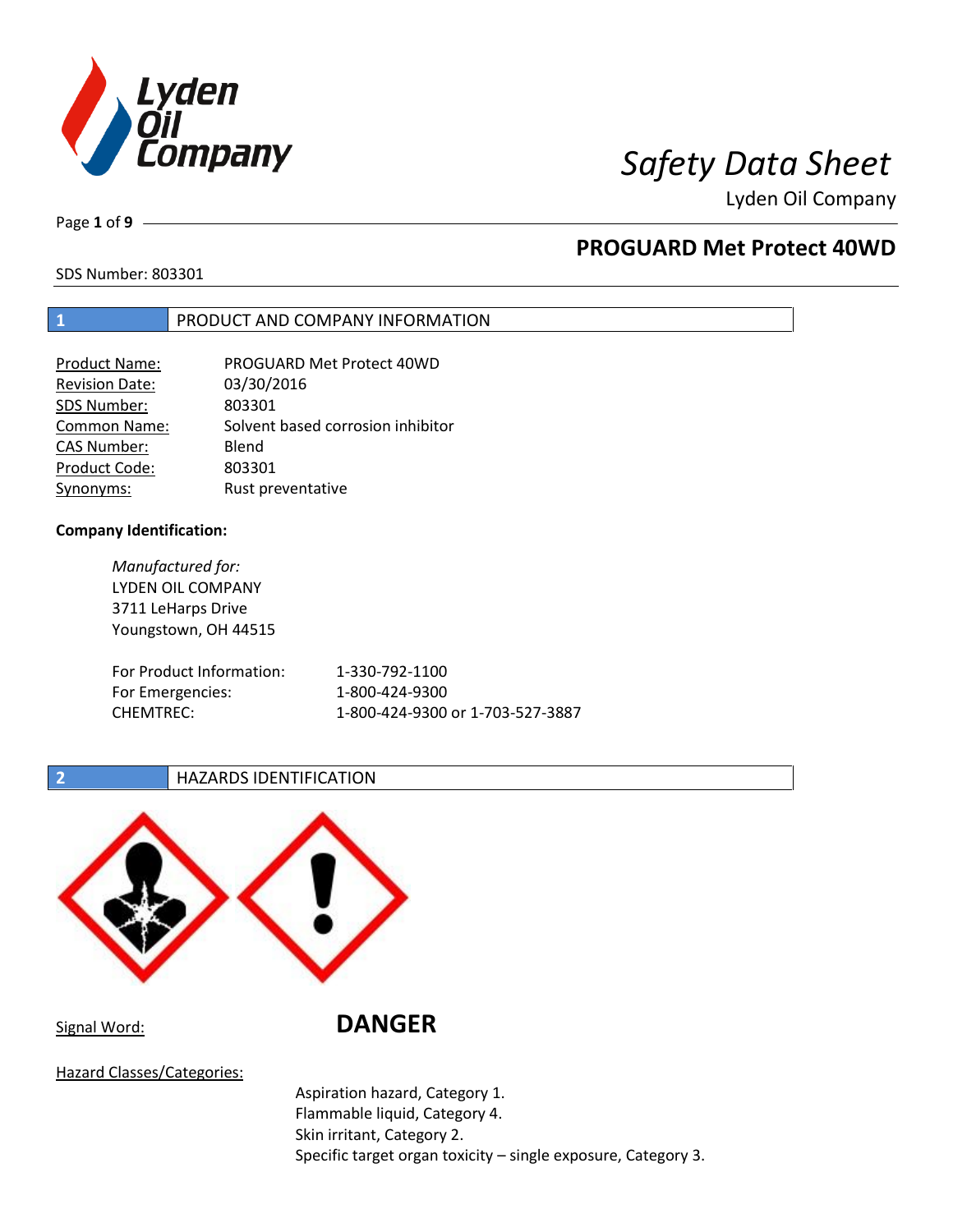

Page **1** of **9**

# **PROGUARD Met Protect 40WD**

SDS Number: 803301

## **1** PRODUCT AND COMPANY INFORMATION

| <b>Product Name:</b>  | PROGUARD Met Protect 40WD         |
|-----------------------|-----------------------------------|
| <b>Revision Date:</b> | 03/30/2016                        |
| SDS Number:           | 803301                            |
| <b>Common Name:</b>   | Solvent based corrosion inhibitor |
| <b>CAS Number:</b>    | Blend                             |
| Product Code:         | 803301                            |
| Synonyms:             | Rust preventative                 |

### **Company Identification:**

*Manufactured for:* LYDEN OIL COMPANY 3711 LeHarps Drive Youngstown, OH 44515 For Product Information: 1-330-792-1100 For Emergencies: 1-800-424-9300 CHEMTREC: 1-800-424-9300 or 1-703-527-3887

**<sup>2</sup> HAZARDS IDENTIFICATION** 



Signal Word: **DANGER**

Hazard Classes/Categories:

Aspiration hazard, Category 1. Flammable liquid, Category 4. Skin irritant, Category 2. Specific target organ toxicity – single exposure, Category 3.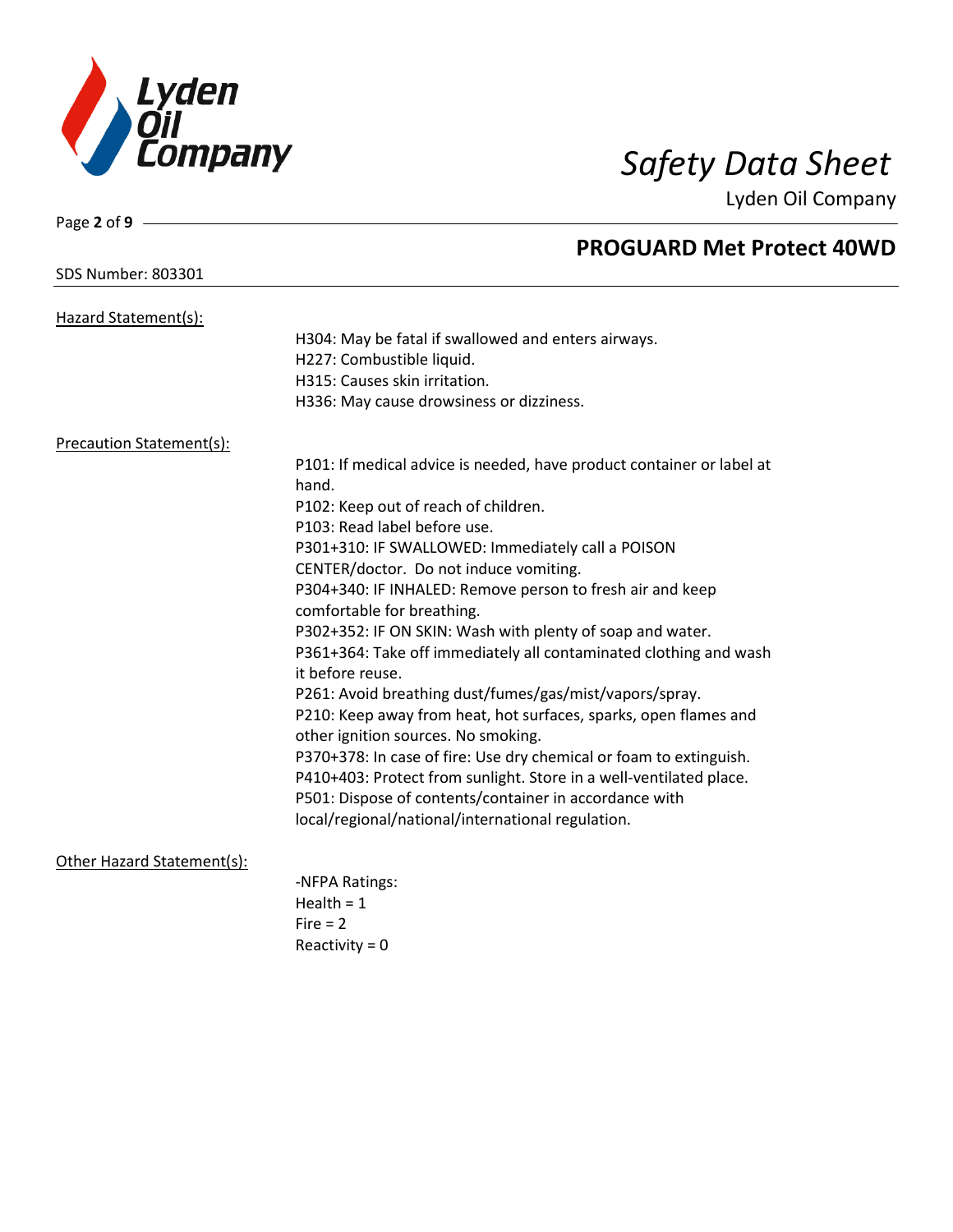

## SDS Number: 803301

Page **2** of **9**

# **PROGUARD Met Protect 40WD**

| Hazard Statement(s):            |                                                                                |
|---------------------------------|--------------------------------------------------------------------------------|
|                                 | H304: May be fatal if swallowed and enters airways.                            |
|                                 | H227: Combustible liquid.                                                      |
|                                 | H315: Causes skin irritation.                                                  |
|                                 | H336: May cause drowsiness or dizziness.                                       |
| <b>Precaution Statement(s):</b> |                                                                                |
|                                 | P101: If medical advice is needed, have product container or label at<br>hand. |
|                                 | P102: Keep out of reach of children.                                           |
|                                 | P103: Read label before use.                                                   |
|                                 | P301+310: IF SWALLOWED: Immediately call a POISON                              |
|                                 | CENTER/doctor. Do not induce vomiting.                                         |
|                                 | P304+340: IF INHALED: Remove person to fresh air and keep                      |
|                                 | comfortable for breathing.                                                     |
|                                 | P302+352: IF ON SKIN: Wash with plenty of soap and water.                      |
|                                 | P361+364: Take off immediately all contaminated clothing and wash              |
|                                 | it before reuse.                                                               |
|                                 | P261: Avoid breathing dust/fumes/gas/mist/vapors/spray.                        |
|                                 | P210: Keep away from heat, hot surfaces, sparks, open flames and               |
|                                 | other ignition sources. No smoking.                                            |
|                                 | P370+378: In case of fire: Use dry chemical or foam to extinguish.             |
|                                 | P410+403: Protect from sunlight. Store in a well-ventilated place.             |
|                                 | P501: Dispose of contents/container in accordance with                         |
|                                 | local/regional/national/international regulation.                              |
| Other Hazard Statement(s):      |                                                                                |
|                                 | -NFPA Ratings:                                                                 |
|                                 | Health = $1$                                                                   |
|                                 | Fire $= 2$                                                                     |

Reactivity = 0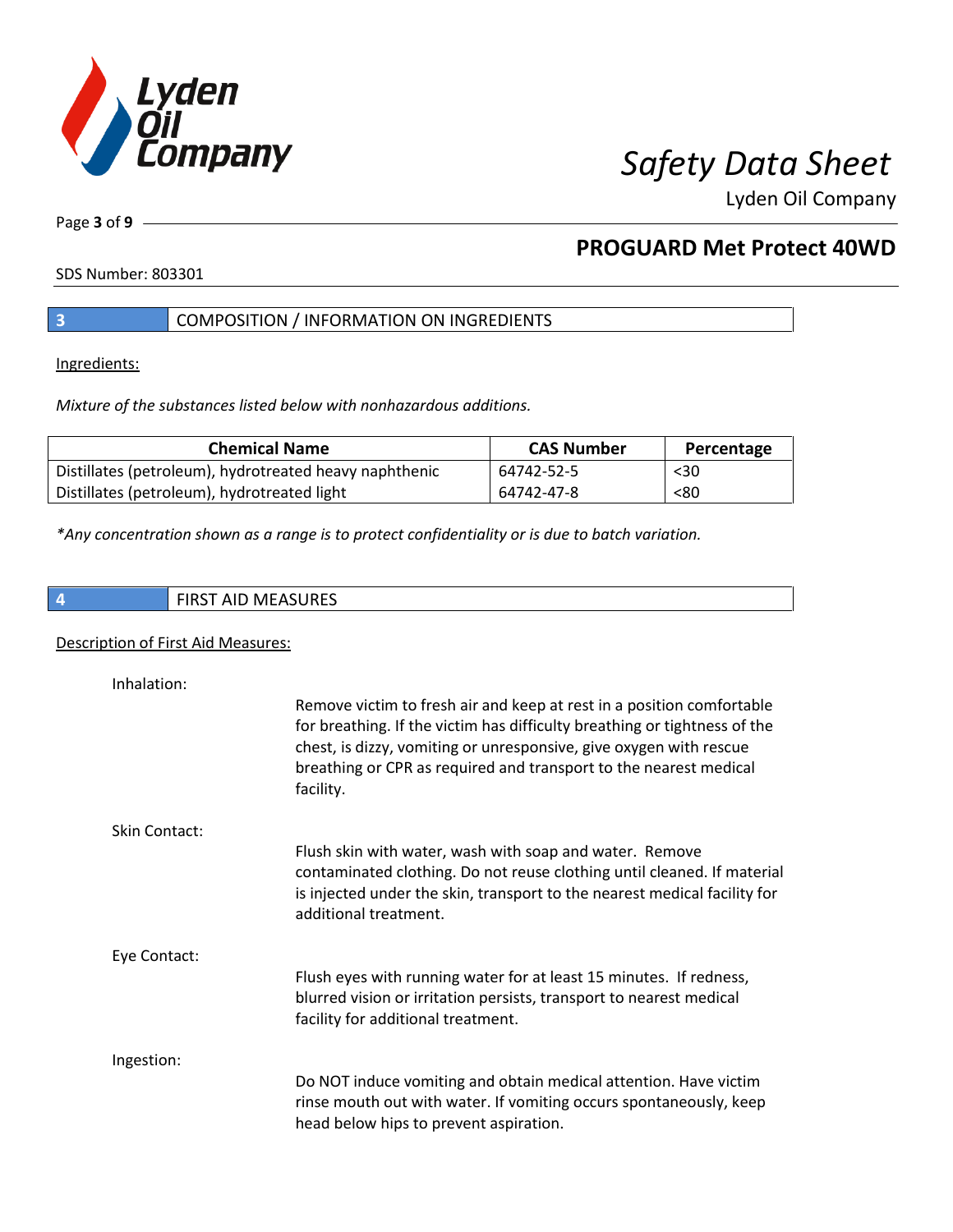

Page **3** of **9**

# **PROGUARD Met Protect 40WD**

SDS Number: 803301

## **3** COMPOSITION / INFORMATION ON INGREDIENTS

Ingredients:

*Mixture of the substances listed below with nonhazardous additions.*

| <b>Chemical Name</b>                                   | <b>CAS Number</b> | Percentage |
|--------------------------------------------------------|-------------------|------------|
| Distillates (petroleum), hydrotreated heavy naphthenic | 64742-52-5        | $30$       |
| Distillates (petroleum), hydrotreated light            | 64742-47-8        | < 80       |

*\*Any concentration shown as a range is to protect confidentiality or is due to batch variation.*

**4** FIRST AID MEASURES

### Description of First Aid Measures:

| Inhalation:          |                                                                                                                                                                                                                                                                                                            |
|----------------------|------------------------------------------------------------------------------------------------------------------------------------------------------------------------------------------------------------------------------------------------------------------------------------------------------------|
|                      | Remove victim to fresh air and keep at rest in a position comfortable<br>for breathing. If the victim has difficulty breathing or tightness of the<br>chest, is dizzy, vomiting or unresponsive, give oxygen with rescue<br>breathing or CPR as required and transport to the nearest medical<br>facility. |
| <b>Skin Contact:</b> |                                                                                                                                                                                                                                                                                                            |
|                      | Flush skin with water, wash with soap and water. Remove<br>contaminated clothing. Do not reuse clothing until cleaned. If material<br>is injected under the skin, transport to the nearest medical facility for<br>additional treatment.                                                                   |
| Eye Contact:         |                                                                                                                                                                                                                                                                                                            |
|                      | Flush eyes with running water for at least 15 minutes. If redness,<br>blurred vision or irritation persists, transport to nearest medical<br>facility for additional treatment.                                                                                                                            |
| Ingestion:           |                                                                                                                                                                                                                                                                                                            |
|                      | Do NOT induce vomiting and obtain medical attention. Have victim                                                                                                                                                                                                                                           |
|                      | rinse mouth out with water. If vomiting occurs spontaneously, keep<br>head below hips to prevent aspiration.                                                                                                                                                                                               |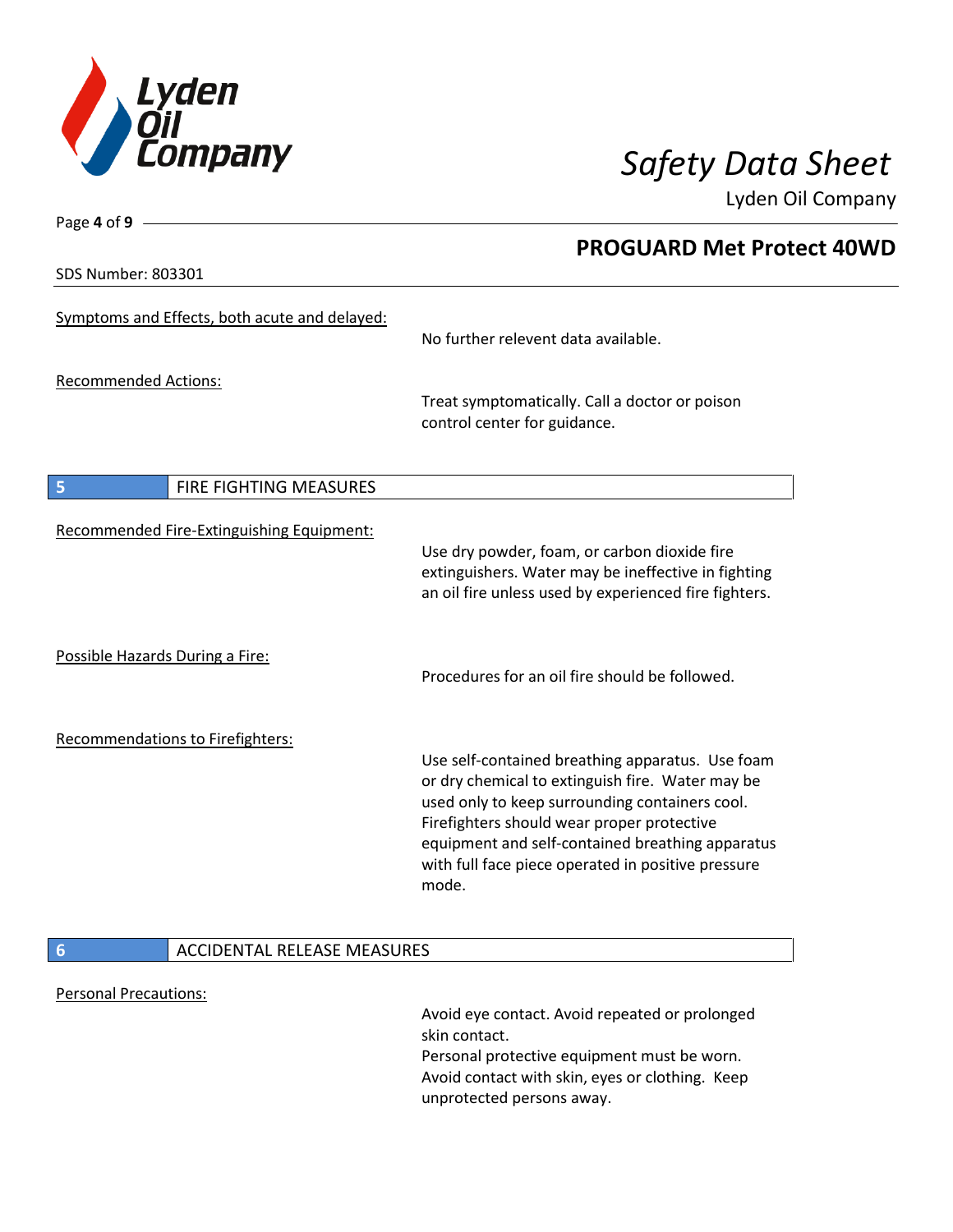

**PROGUARD Met Protect 40WD**

Lyden Oil Company

SDS Number: 803301

Page **4** of **9**

|                                 | Symptoms and Effects, both acute and delayed: | No further relevent data available.                                                                                                                                                                                                                                                                                     |
|---------------------------------|-----------------------------------------------|-------------------------------------------------------------------------------------------------------------------------------------------------------------------------------------------------------------------------------------------------------------------------------------------------------------------------|
| <b>Recommended Actions:</b>     |                                               | Treat symptomatically. Call a doctor or poison<br>control center for guidance.                                                                                                                                                                                                                                          |
| 5                               | <b>FIRE FIGHTING MEASURES</b>                 |                                                                                                                                                                                                                                                                                                                         |
|                                 | Recommended Fire-Extinguishing Equipment:     | Use dry powder, foam, or carbon dioxide fire<br>extinguishers. Water may be ineffective in fighting<br>an oil fire unless used by experienced fire fighters.                                                                                                                                                            |
| Possible Hazards During a Fire: |                                               | Procedures for an oil fire should be followed.                                                                                                                                                                                                                                                                          |
|                                 | <b>Recommendations to Firefighters:</b>       | Use self-contained breathing apparatus. Use foam<br>or dry chemical to extinguish fire. Water may be<br>used only to keep surrounding containers cool.<br>Firefighters should wear proper protective<br>equipment and self-contained breathing apparatus<br>with full face piece operated in positive pressure<br>mode. |
| 6                               | <b>ACCIDENTAL RELEASE MEASURES</b>            |                                                                                                                                                                                                                                                                                                                         |
| <b>Personal Precautions:</b>    |                                               |                                                                                                                                                                                                                                                                                                                         |

Avoid eye contact. Avoid repeated or prolonged skin contact. Personal protective equipment must be worn. Avoid contact with skin, eyes or clothing. Keep unprotected persons away.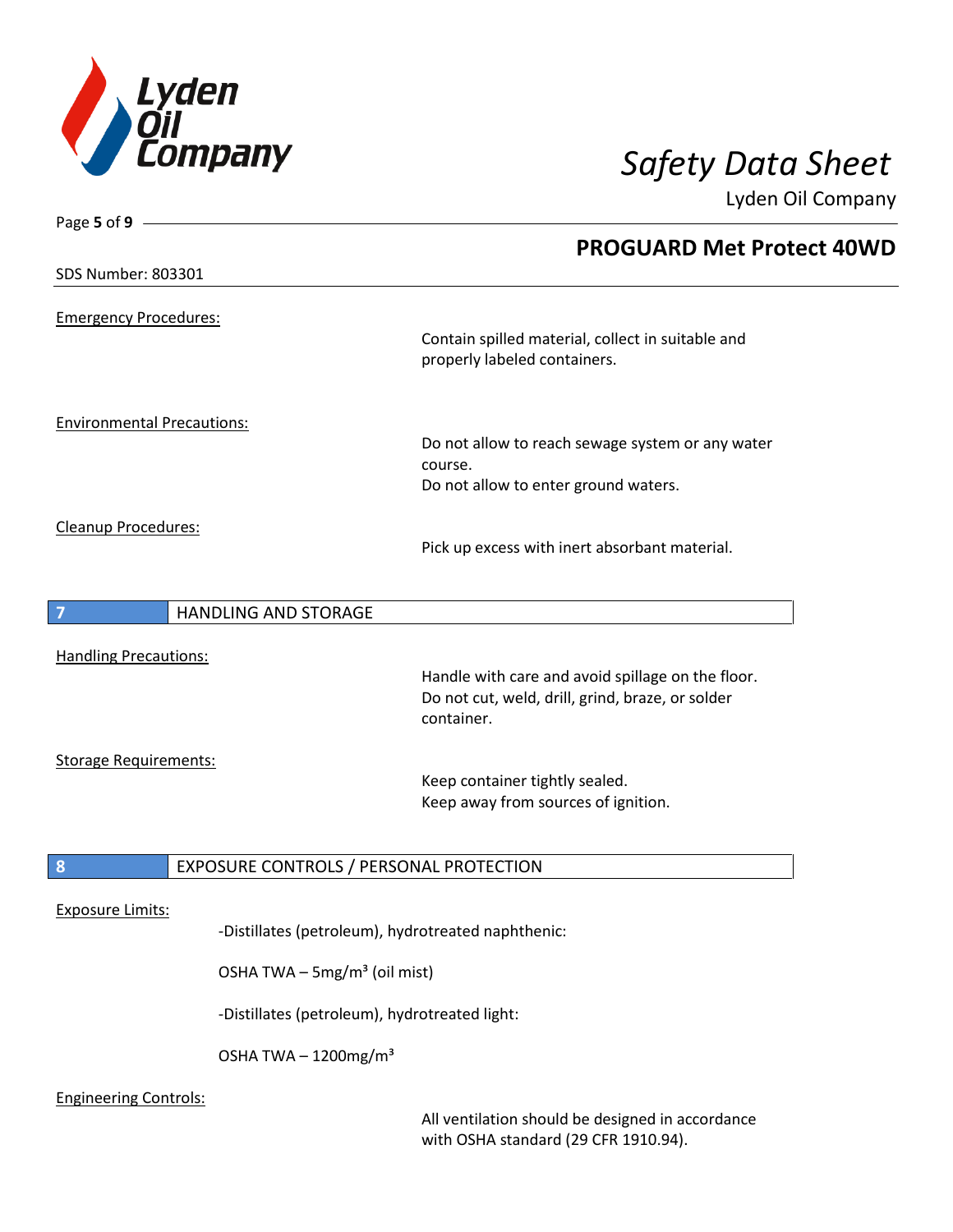

| Page 5 of 9                       |                                                    |                                                                                                                     |
|-----------------------------------|----------------------------------------------------|---------------------------------------------------------------------------------------------------------------------|
|                                   |                                                    | <b>PROGUARD Met Protect 40WD</b>                                                                                    |
| SDS Number: 803301                |                                                    |                                                                                                                     |
| <b>Emergency Procedures:</b>      |                                                    | Contain spilled material, collect in suitable and<br>properly labeled containers.                                   |
| <b>Environmental Precautions:</b> |                                                    | Do not allow to reach sewage system or any water<br>course.<br>Do not allow to enter ground waters.                 |
| Cleanup Procedures:               |                                                    | Pick up excess with inert absorbant material.                                                                       |
| $\overline{7}$                    | <b>HANDLING AND STORAGE</b>                        |                                                                                                                     |
| <b>Handling Precautions:</b>      |                                                    | Handle with care and avoid spillage on the floor.<br>Do not cut, weld, drill, grind, braze, or solder<br>container. |
| <b>Storage Requirements:</b>      |                                                    | Keep container tightly sealed.<br>Keep away from sources of ignition.                                               |
| 8                                 | EXPOSURE CONTROLS / PERSONAL PROTECTION            |                                                                                                                     |
| <b>Exposure Limits:</b>           | -Distillates (petroleum), hydrotreated naphthenic: |                                                                                                                     |
|                                   | OSHA TWA - 5mg/m <sup>3</sup> (oil mist)           |                                                                                                                     |
|                                   | -Distillates (petroleum), hydrotreated light:      |                                                                                                                     |
|                                   |                                                    |                                                                                                                     |

OSHA TWA  $-1200$ mg/m $3$ 

## Engineering Controls:

All ventilation should be designed in accordance with OSHA standard (29 CFR 1910.94).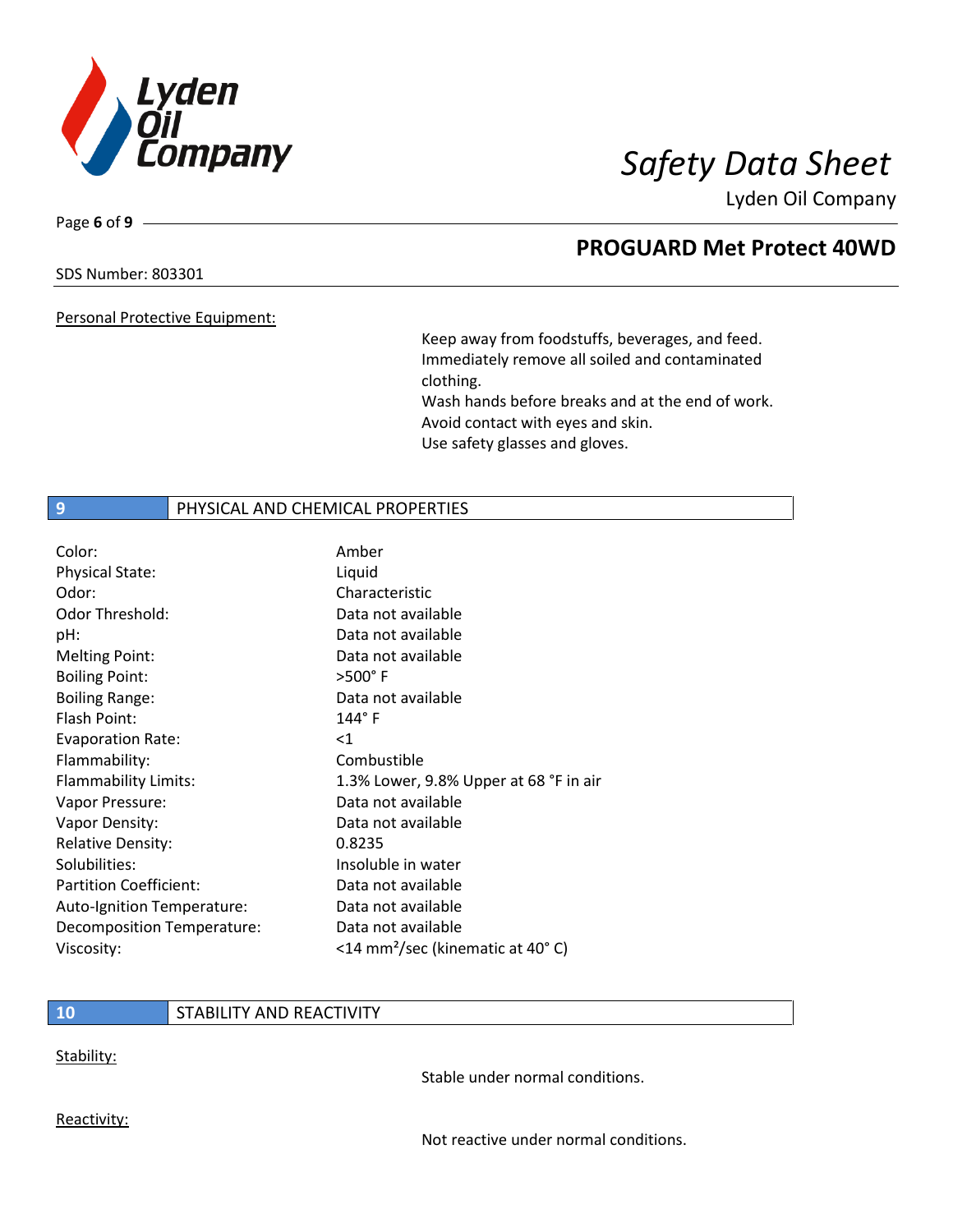

Page **6** of **9**

# **PROGUARD Met Protect 40WD**

### SDS Number: 803301

Personal Protective Equipment:

Keep away from foodstuffs, beverages, and feed. Immediately remove all soiled and contaminated clothing. Wash hands before breaks and at the end of work. Avoid contact with eyes and skin. Use safety glasses and gloves.

## **9 PHYSICAL AND CHEMICAL PROPERTIES**

| Color:                        | Amber                                         |
|-------------------------------|-----------------------------------------------|
| <b>Physical State:</b>        | Liquid                                        |
| Odor:                         | Characteristic                                |
| Odor Threshold:               | Data not available                            |
| pH:                           | Data not available                            |
| <b>Melting Point:</b>         | Data not available                            |
| <b>Boiling Point:</b>         | $>500^\circ$ F                                |
| <b>Boiling Range:</b>         | Data not available                            |
| Flash Point:                  | $144^\circ$ F                                 |
| <b>Evaporation Rate:</b>      | $<$ 1                                         |
| Flammability:                 | Combustible                                   |
| Flammability Limits:          | 1.3% Lower, 9.8% Upper at 68 °F in air        |
| Vapor Pressure:               | Data not available                            |
| Vapor Density:                | Data not available                            |
| <b>Relative Density:</b>      | 0.8235                                        |
| Solubilities:                 | Insoluble in water                            |
| <b>Partition Coefficient:</b> | Data not available                            |
| Auto-Ignition Temperature:    | Data not available                            |
| Decomposition Temperature:    | Data not available                            |
| Viscosity:                    | <14 mm <sup>2</sup> /sec (kinematic at 40° C) |

### **10** STABILITY AND REACTIVITY

Stability:

Stable under normal conditions.

Reactivity:

Not reactive under normal conditions.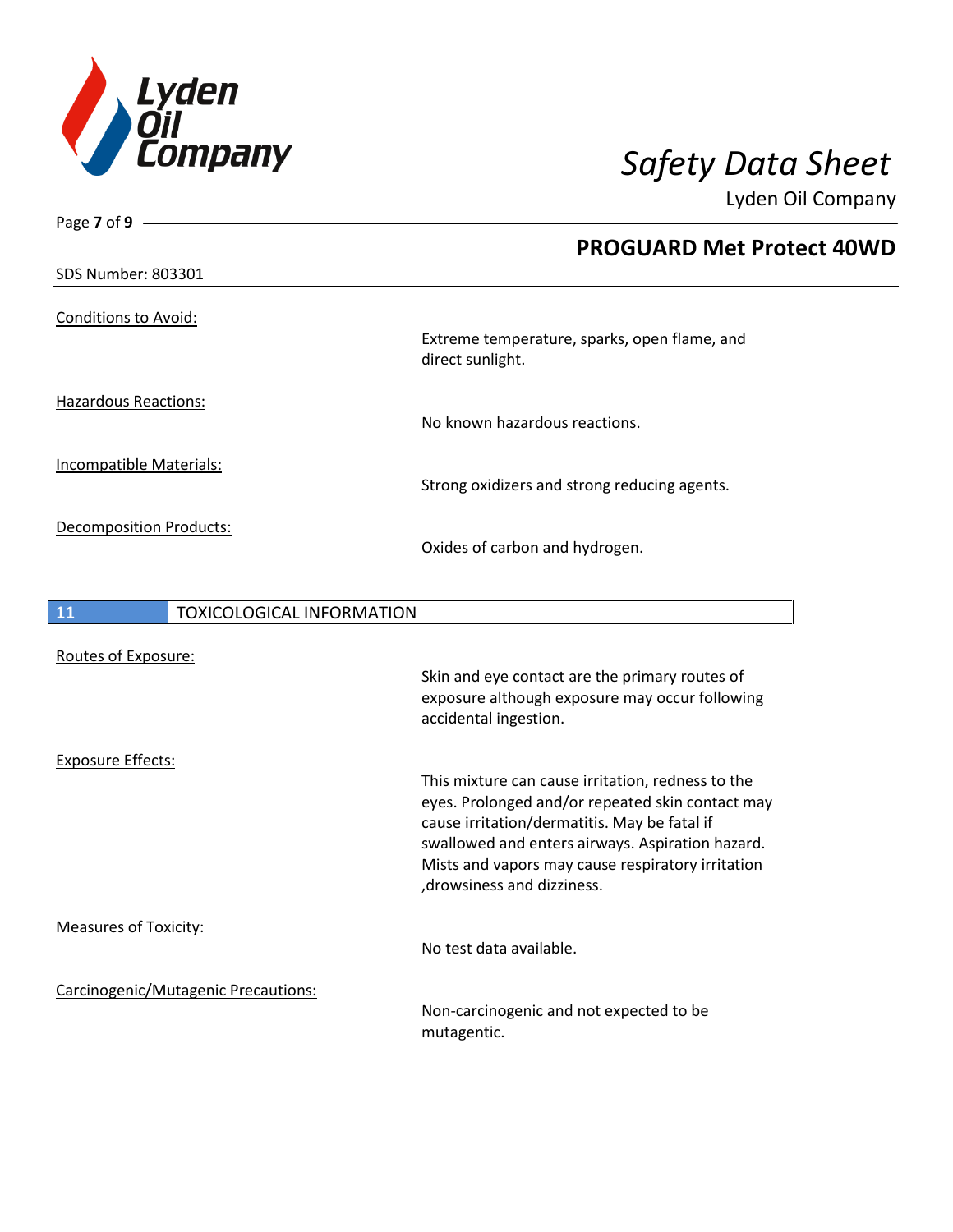

Page **7** of **9**

Lyden Oil Company

|                                |                                  | <b>PROGUARD Met Protect 40WD</b>                                                                                          |
|--------------------------------|----------------------------------|---------------------------------------------------------------------------------------------------------------------------|
| SDS Number: 803301             |                                  |                                                                                                                           |
| <b>Conditions to Avoid:</b>    |                                  | Extreme temperature, sparks, open flame, and                                                                              |
|                                |                                  | direct sunlight.                                                                                                          |
| <b>Hazardous Reactions:</b>    |                                  | No known hazardous reactions.                                                                                             |
| <b>Incompatible Materials:</b> |                                  | Strong oxidizers and strong reducing agents.                                                                              |
| <b>Decomposition Products:</b> |                                  | Oxides of carbon and hydrogen.                                                                                            |
|                                |                                  |                                                                                                                           |
| 11                             | <b>TOXICOLOGICAL INFORMATION</b> |                                                                                                                           |
| Routes of Exposure:            |                                  |                                                                                                                           |
|                                |                                  | Skin and eye contact are the primary routes of<br>exposure although exposure may occur following<br>accidental ingestion. |

Exposure Effects:

Measures of Toxicity:

Carcinogenic/Mutagenic Precautions:

Non-carcinogenic and not expected to be mutagentic.

This mixture can cause irritation, redness to the eyes. Prolonged and/or repeated skin contact may

swallowed and enters airways. Aspiration hazard. Mists and vapors may cause respiratory irritation

cause irritation/dermatitis. May be fatal if

,drowsiness and dizziness.

No test data available.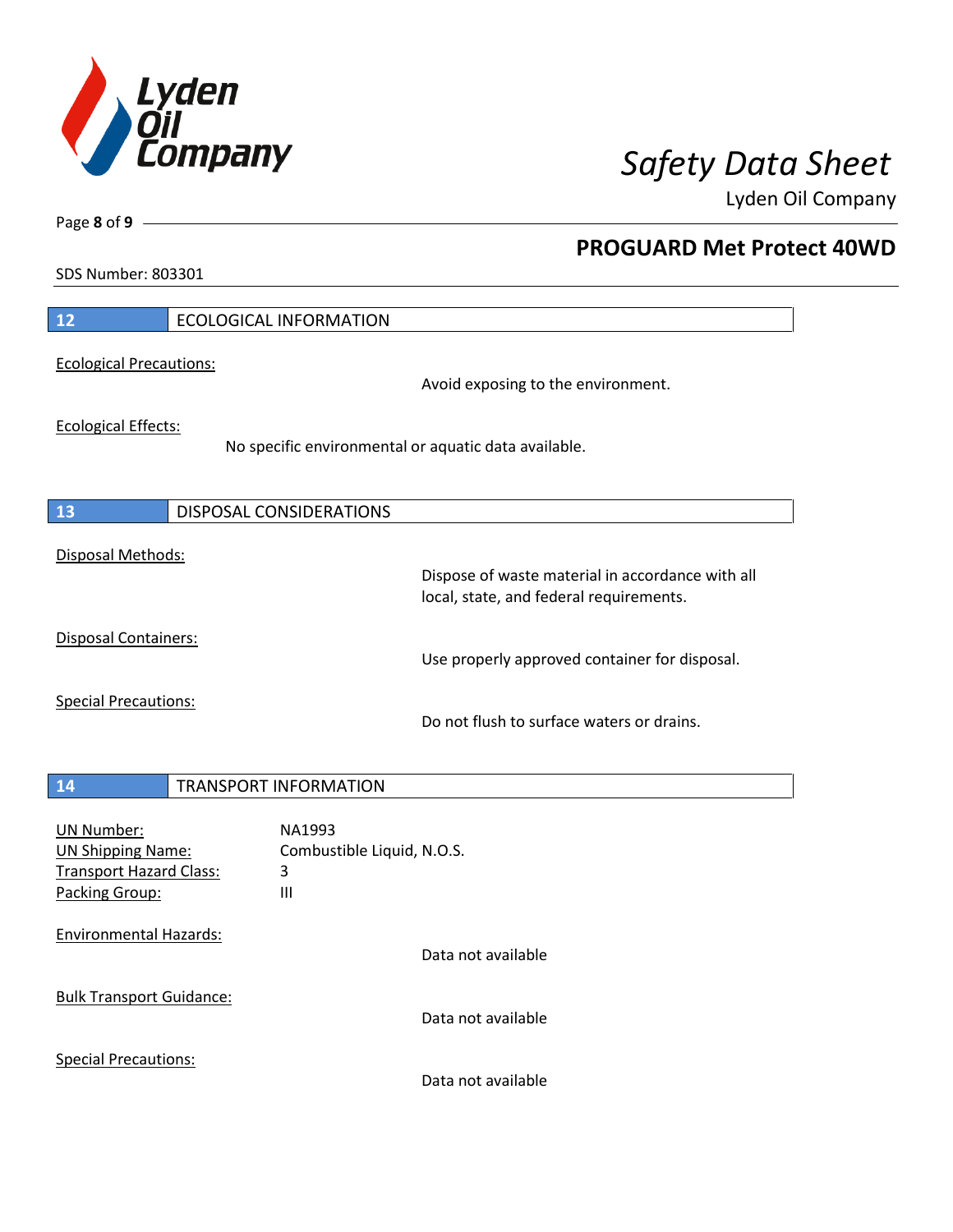

**PROGUARD Met Protect 40WD**

Lyden Oil Company

SDS Number: 803301

Page **8** of **9**

| $\overline{12}$                 | <b>ECOLOGICAL INFORMATION</b>                        |
|---------------------------------|------------------------------------------------------|
| <b>Ecological Precautions:</b>  |                                                      |
|                                 | Avoid exposing to the environment.                   |
| <b>Ecological Effects:</b>      |                                                      |
|                                 | No specific environmental or aquatic data available. |
|                                 |                                                      |
| <b>13</b>                       | DISPOSAL CONSIDERATIONS                              |
| Disposal Methods:               |                                                      |
|                                 | Dispose of waste material in accordance with all     |
|                                 | local, state, and federal requirements.              |
| <b>Disposal Containers:</b>     |                                                      |
|                                 | Use properly approved container for disposal.        |
| <b>Special Precautions:</b>     |                                                      |
|                                 | Do not flush to surface waters or drains.            |
|                                 |                                                      |
| 14                              | <b>TRANSPORT INFORMATION</b>                         |
| <b>UN Number:</b>               | NA1993                                               |
| <b>UN Shipping Name:</b>        | Combustible Liquid, N.O.S.                           |
| <b>Transport Hazard Class:</b>  | 3                                                    |
| Packing Group:                  | III                                                  |
| <b>Environmental Hazards:</b>   |                                                      |
|                                 | Data not available                                   |
| <b>Bulk Transport Guidance:</b> |                                                      |
|                                 | Data not available                                   |
| <b>Special Precautions:</b>     |                                                      |
|                                 | Data not available                                   |